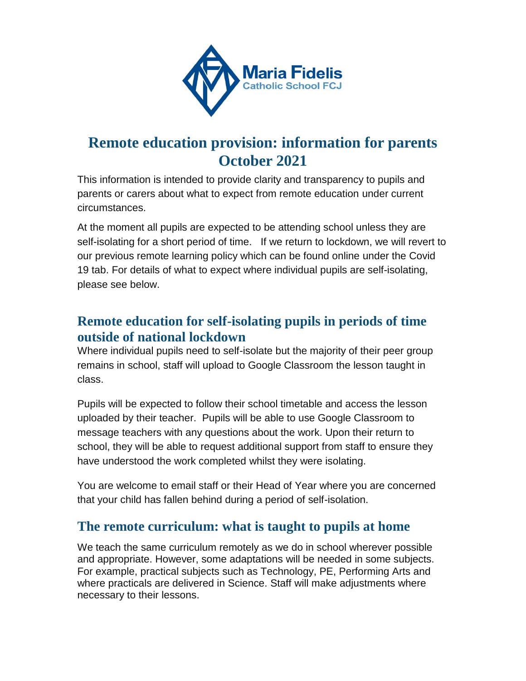

# **Remote education provision: information for parents October 2021**

This information is intended to provide clarity and transparency to pupils and parents or carers about what to expect from remote education under current circumstances.

At the moment all pupils are expected to be attending school unless they are self-isolating for a short period of time. If we return to lockdown, we will revert to our previous remote learning policy which can be found online under the Covid 19 tab. For details of what to expect where individual pupils are self-isolating, please see below.

### **Remote education for self-isolating pupils in periods of time outside of national lockdown**

Where individual pupils need to self-isolate but the majority of their peer group remains in school, staff will upload to Google Classroom the lesson taught in class.

Pupils will be expected to follow their school timetable and access the lesson uploaded by their teacher. Pupils will be able to use Google Classroom to message teachers with any questions about the work. Upon their return to school, they will be able to request additional support from staff to ensure they have understood the work completed whilst they were isolating.

You are welcome to email staff or their Head of Year where you are concerned that your child has fallen behind during a period of self-isolation.

### **The remote curriculum: what is taught to pupils at home**

We teach the same curriculum remotely as we do in school wherever possible and appropriate. However, some adaptations will be needed in some subjects. For example, practical subjects such as Technology, PE, Performing Arts and where practicals are delivered in Science. Staff will make adjustments where necessary to their lessons.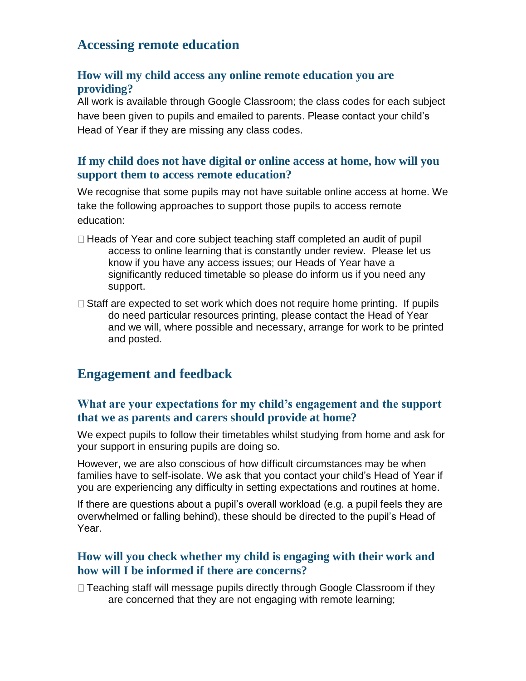### **Accessing remote education**

#### **How will my child access any online remote education you are providing?**

All work is available through Google Classroom; the class codes for each subject have been given to pupils and emailed to parents. Please contact your child's Head of Year if they are missing any class codes.

#### **If my child does not have digital or online access at home, how will you support them to access remote education?**

We recognise that some pupils may not have suitable online access at home. We take the following approaches to support those pupils to access remote education:

- $\Box$  Heads of Year and core subject teaching staff completed an audit of pupil access to online learning that is constantly under review. Please let us know if you have any access issues; our Heads of Year have a significantly reduced timetable so please do inform us if you need any support.
- $\Box$  Staff are expected to set work which does not require home printing. If pupils do need particular resources printing, please contact the Head of Year and we will, where possible and necessary, arrange for work to be printed and posted.

### **Engagement and feedback**

#### **What are your expectations for my child's engagement and the support that we as parents and carers should provide at home?**

We expect pupils to follow their timetables whilst studying from home and ask for your support in ensuring pupils are doing so.

However, we are also conscious of how difficult circumstances may be when families have to self-isolate. We ask that you contact your child's Head of Year if you are experiencing any difficulty in setting expectations and routines at home.

If there are questions about a pupil's overall workload (e.g. a pupil feels they are overwhelmed or falling behind), these should be directed to the pupil's Head of Year.

#### **How will you check whether my child is engaging with their work and how will I be informed if there are concerns?**

□ Teaching staff will message pupils directly through Google Classroom if they are concerned that they are not engaging with remote learning;